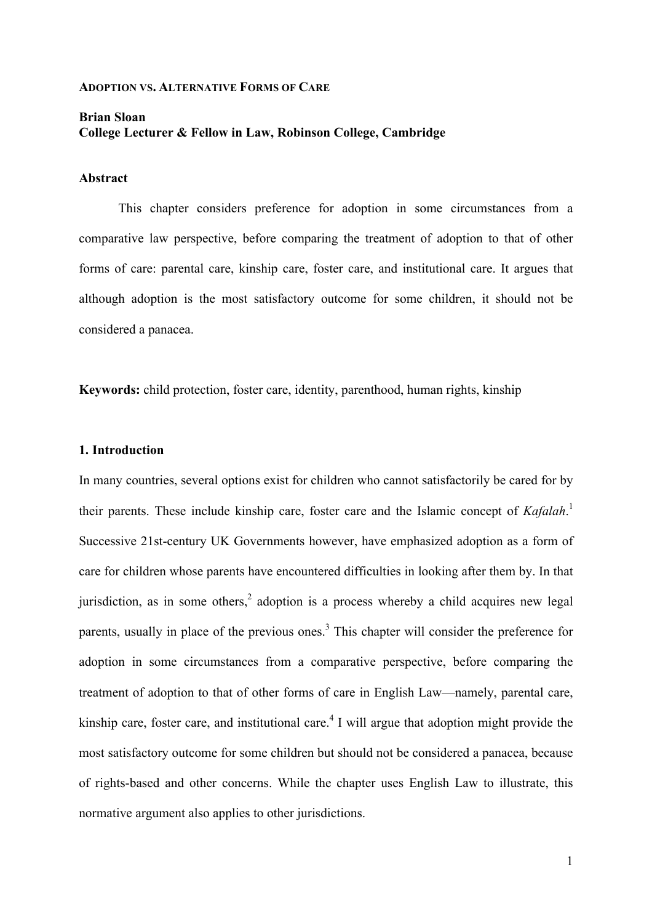#### **ADOPTION VS. ALTERNATIVE FORMS OF CARE**

# **Brian Sloan College Lecturer & Fellow in Law, Robinson College, Cambridge**

## **Abstract**

This chapter considers preference for adoption in some circumstances from a comparative law perspective, before comparing the treatment of adoption to that of other forms of care: parental care, kinship care, foster care, and institutional care. It argues that although adoption is the most satisfactory outcome for some children, it should not be considered a panacea.

**Keywords:** child protection, foster care, identity, parenthood, human rights, kinship

## **1. Introduction**

In many countries, several options exist for children who cannot satisfactorily be cared for by their parents. These include kinship care, foster care and the Islamic concept of *Kafalah*. 1 Successive 21st-century UK Governments however, have emphasized adoption as a form of care for children whose parents have encountered difficulties in looking after them by. In that jurisdiction, as in some others,<sup>2</sup> adoption is a process whereby a child acquires new legal parents, usually in place of the previous ones.<sup>3</sup> This chapter will consider the preference for adoption in some circumstances from a comparative perspective, before comparing the treatment of adoption to that of other forms of care in English Law—namely, parental care, kinship care, foster care, and institutional care. <sup>4</sup> I will argue that adoption might provide the most satisfactory outcome for some children but should not be considered a panacea, because of rights-based and other concerns. While the chapter uses English Law to illustrate, this normative argument also applies to other jurisdictions.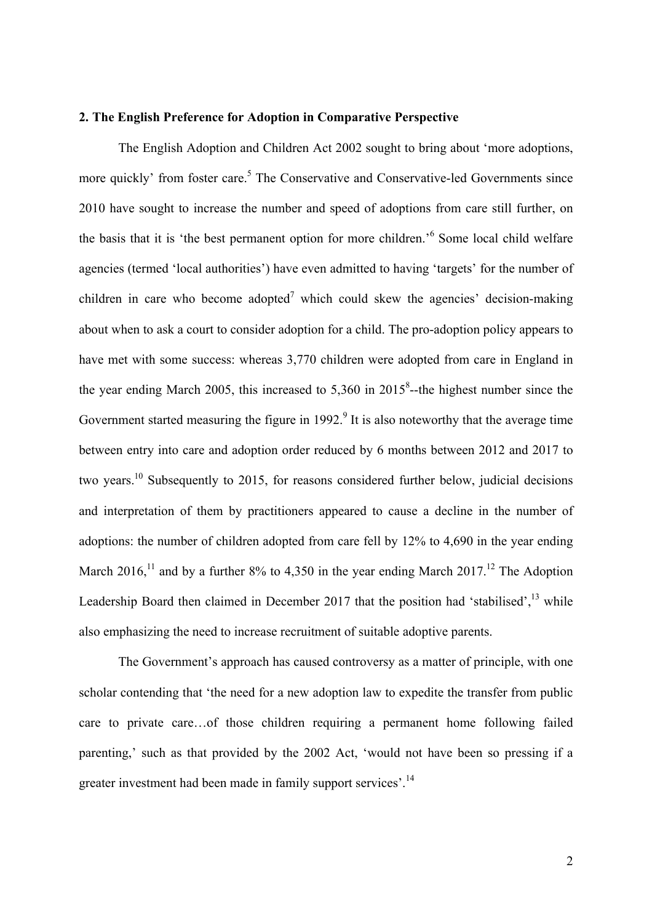## **2. The English Preference for Adoption in Comparative Perspective**

The English Adoption and Children Act 2002 sought to bring about 'more adoptions, more quickly' from foster care.<sup>5</sup> The Conservative and Conservative-led Governments since 2010 have sought to increase the number and speed of adoptions from care still further, on the basis that it is 'the best permanent option for more children.' <sup>6</sup> Some local child welfare agencies (termed 'local authorities') have even admitted to having 'targets' for the number of children in care who become adopted<sup>7</sup> which could skew the agencies' decision-making about when to ask a court to consider adoption for a child. The pro-adoption policy appears to have met with some success: whereas 3,770 children were adopted from care in England in the year ending March 2005, this increased to  $5,360$  in  $2015^8$ --the highest number since the Government started measuring the figure in  $1992<sup>9</sup>$  It is also noteworthy that the average time between entry into care and adoption order reduced by 6 months between 2012 and 2017 to two years.10 Subsequently to 2015, for reasons considered further below, judicial decisions and interpretation of them by practitioners appeared to cause a decline in the number of adoptions: the number of children adopted from care fell by 12% to 4,690 in the year ending March 2016,<sup>11</sup> and by a further 8% to 4,350 in the year ending March 2017.<sup>12</sup> The Adoption Leadership Board then claimed in December 2017 that the position had 'stabilised',<sup>13</sup> while also emphasizing the need to increase recruitment of suitable adoptive parents.

The Government's approach has caused controversy as a matter of principle, with one scholar contending that 'the need for a new adoption law to expedite the transfer from public care to private care…of those children requiring a permanent home following failed parenting,' such as that provided by the 2002 Act, 'would not have been so pressing if a greater investment had been made in family support services'.<sup>14</sup>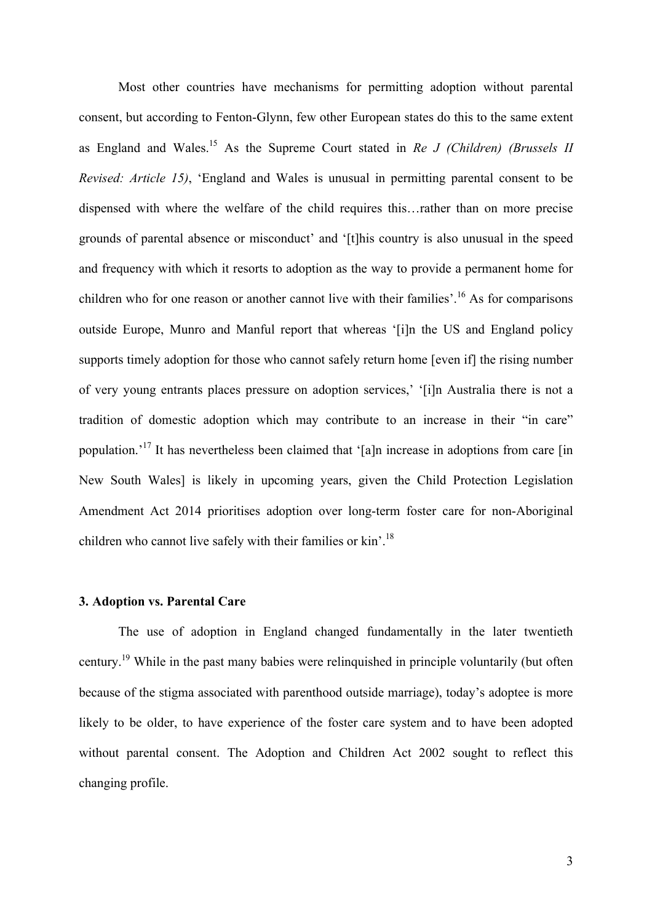Most other countries have mechanisms for permitting adoption without parental consent, but according to Fenton-Glynn, few other European states do this to the same extent as England and Wales. <sup>15</sup> As the Supreme Court stated in *Re J (Children) (Brussels II Revised: Article 15)*, 'England and Wales is unusual in permitting parental consent to be dispensed with where the welfare of the child requires this…rather than on more precise grounds of parental absence or misconduct' and '[t]his country is also unusual in the speed and frequency with which it resorts to adoption as the way to provide a permanent home for children who for one reason or another cannot live with their families'.<sup>16</sup> As for comparisons outside Europe, Munro and Manful report that whereas '[i]n the US and England policy supports timely adoption for those who cannot safely return home [even if] the rising number of very young entrants places pressure on adoption services,' '[i]n Australia there is not a tradition of domestic adoption which may contribute to an increase in their "in care" population.<sup>17</sup> It has nevertheless been claimed that '[a]n increase in adoptions from care [in New South Wales] is likely in upcoming years, given the Child Protection Legislation Amendment Act 2014 prioritises adoption over long-term foster care for non-Aboriginal children who cannot live safely with their families or kin'.<sup>18</sup>

#### **3. Adoption vs. Parental Care**

The use of adoption in England changed fundamentally in the later twentieth century.19 While in the past many babies were relinquished in principle voluntarily (but often because of the stigma associated with parenthood outside marriage), today's adoptee is more likely to be older, to have experience of the foster care system and to have been adopted without parental consent. The Adoption and Children Act 2002 sought to reflect this changing profile.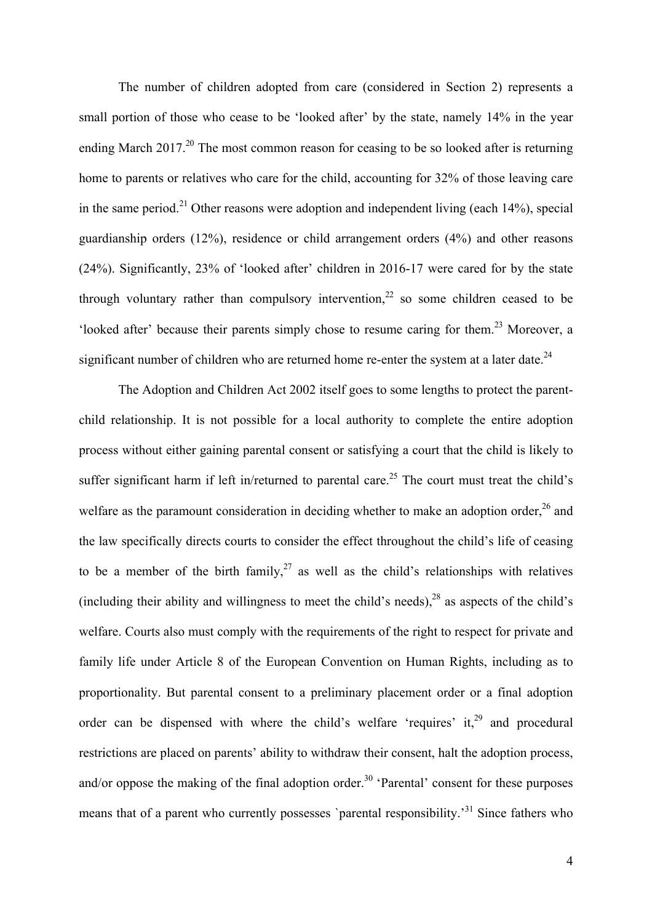The number of children adopted from care (considered in Section 2) represents a small portion of those who cease to be 'looked after' by the state, namely 14% in the year ending March 2017.<sup>20</sup> The most common reason for ceasing to be so looked after is returning home to parents or relatives who care for the child, accounting for 32% of those leaving care in the same period.<sup>21</sup> Other reasons were adoption and independent living (each  $14\%$ ), special guardianship orders (12%), residence or child arrangement orders (4%) and other reasons (24%). Significantly, 23% of 'looked after' children in 2016-17 were cared for by the state through voluntary rather than compulsory intervention,<sup>22</sup> so some children ceased to be 'looked after' because their parents simply chose to resume caring for them.<sup>23</sup> Moreover, a significant number of children who are returned home re-enter the system at a later date.<sup>24</sup>

The Adoption and Children Act 2002 itself goes to some lengths to protect the parentchild relationship. It is not possible for a local authority to complete the entire adoption process without either gaining parental consent or satisfying a court that the child is likely to suffer significant harm if left in/returned to parental care.<sup>25</sup> The court must treat the child's welfare as the paramount consideration in deciding whether to make an adoption order,  $26$  and the law specifically directs courts to consider the effect throughout the child's life of ceasing to be a member of the birth family,  $27$  as well as the child's relationships with relatives (including their ability and willingness to meet the child's needs), $^{28}$  as aspects of the child's welfare. Courts also must comply with the requirements of the right to respect for private and family life under Article 8 of the European Convention on Human Rights, including as to proportionality. But parental consent to a preliminary placement order or a final adoption order can be dispensed with where the child's welfare 'requires' it, $29$  and procedural restrictions are placed on parents' ability to withdraw their consent, halt the adoption process, and/or oppose the making of the final adoption order.<sup>30</sup> 'Parental' consent for these purposes means that of a parent who currently possesses `parental responsibility.<sup>31</sup> Since fathers who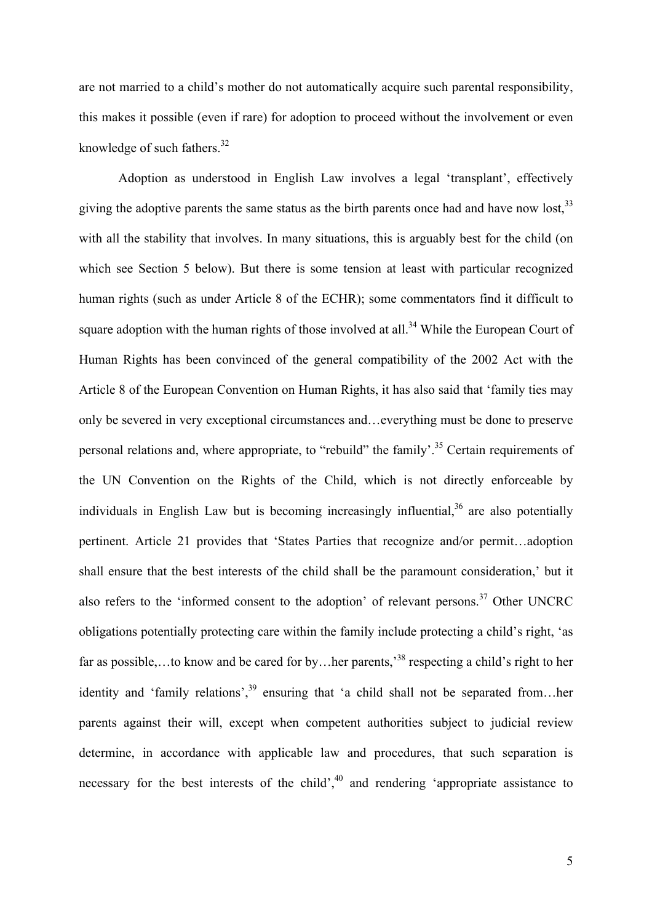are not married to a child's mother do not automatically acquire such parental responsibility, this makes it possible (even if rare) for adoption to proceed without the involvement or even knowledge of such fathers. $32$ 

Adoption as understood in English Law involves a legal 'transplant', effectively giving the adoptive parents the same status as the birth parents once had and have now lost,  $33$ with all the stability that involves. In many situations, this is arguably best for the child (on which see Section 5 below). But there is some tension at least with particular recognized human rights (such as under Article 8 of the ECHR); some commentators find it difficult to square adoption with the human rights of those involved at all.<sup>34</sup> While the European Court of Human Rights has been convinced of the general compatibility of the 2002 Act with the Article 8 of the European Convention on Human Rights, it has also said that 'family ties may only be severed in very exceptional circumstances and…everything must be done to preserve personal relations and, where appropriate, to "rebuild" the family'.<sup>35</sup> Certain requirements of the UN Convention on the Rights of the Child, which is not directly enforceable by individuals in English Law but is becoming increasingly influential,  $36$  are also potentially pertinent. Article 21 provides that 'States Parties that recognize and/or permit…adoption shall ensure that the best interests of the child shall be the paramount consideration,' but it also refers to the 'informed consent to the adoption' of relevant persons.<sup>37</sup> Other UNCRC obligations potentially protecting care within the family include protecting a child's right, 'as far as possible,...to know and be cared for by...her parents,<sup>38</sup> respecting a child's right to her identity and 'family relations',<sup>39</sup> ensuring that 'a child shall not be separated from...her parents against their will, except when competent authorities subject to judicial review determine, in accordance with applicable law and procedures, that such separation is necessary for the best interests of the child', $^{40}$  and rendering 'appropriate assistance to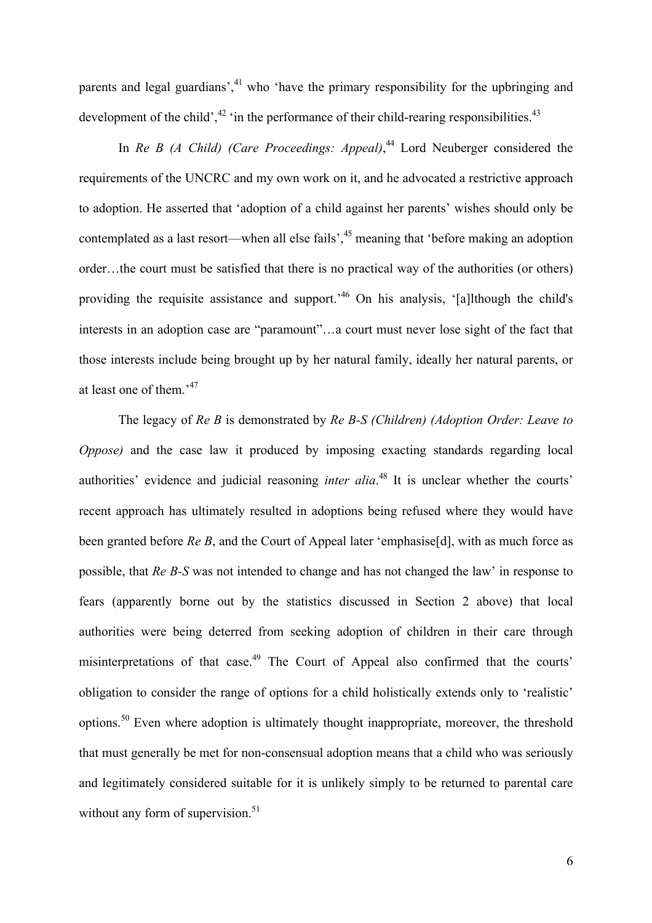parents and legal guardians', $^{41}$  who 'have the primary responsibility for the upbringing and development of the child', $42$  'in the performance of their child-rearing responsibilities. $43$ 

In *Re B (A Child) (Care Proceedings: Appeal)*, <sup>44</sup> Lord Neuberger considered the requirements of the UNCRC and my own work on it, and he advocated a restrictive approach to adoption. He asserted that 'adoption of a child against her parents' wishes should only be contemplated as a last resort—when all else fails<sup>'</sup>,<sup>45</sup> meaning that 'before making an adoption order…the court must be satisfied that there is no practical way of the authorities (or others) providing the requisite assistance and support.<sup>46</sup> On his analysis, '[a]lthough the child's interests in an adoption case are "paramount"…a court must never lose sight of the fact that those interests include being brought up by her natural family, ideally her natural parents, or at least one of them.<sup>47</sup>

The legacy of *Re B* is demonstrated by *Re B-S (Children) (Adoption Order: Leave to Oppose*) and the case law it produced by imposing exacting standards regarding local authorities' evidence and judicial reasoning *inter alia*. <sup>48</sup> It is unclear whether the courts' recent approach has ultimately resulted in adoptions being refused where they would have been granted before *Re B*, and the Court of Appeal later 'emphasise[d], with as much force as possible, that *Re B-S* was not intended to change and has not changed the law' in response to fears (apparently borne out by the statistics discussed in Section 2 above) that local authorities were being deterred from seeking adoption of children in their care through misinterpretations of that case.<sup>49</sup> The Court of Appeal also confirmed that the courts' obligation to consider the range of options for a child holistically extends only to 'realistic' options.<sup>50</sup> Even where adoption is ultimately thought inappropriate, moreover, the threshold that must generally be met for non-consensual adoption means that a child who was seriously and legitimately considered suitable for it is unlikely simply to be returned to parental care without any form of supervision. $51$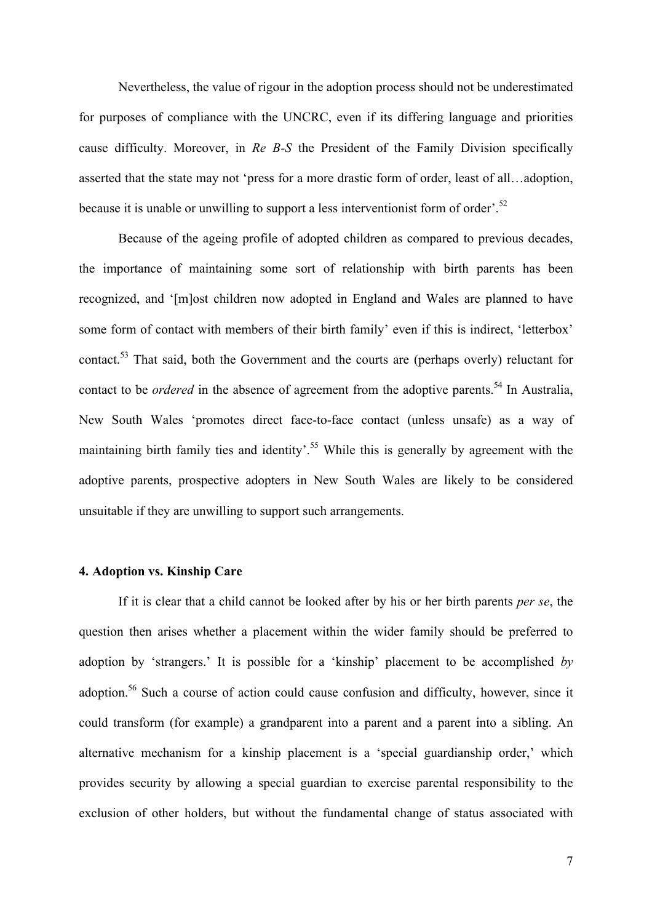Nevertheless, the value of rigour in the adoption process should not be underestimated for purposes of compliance with the UNCRC, even if its differing language and priorities cause difficulty. Moreover, in *Re B-S* the President of the Family Division specifically asserted that the state may not 'press for a more drastic form of order, least of all…adoption, because it is unable or unwilling to support a less interventionist form of order'.<sup>52</sup>

Because of the ageing profile of adopted children as compared to previous decades, the importance of maintaining some sort of relationship with birth parents has been recognized, and '[m]ost children now adopted in England and Wales are planned to have some form of contact with members of their birth family' even if this is indirect, 'letterbox' contact.<sup>53</sup> That said, both the Government and the courts are (perhaps overly) reluctant for contact to be *ordered* in the absence of agreement from the adoptive parents.<sup>54</sup> In Australia, New South Wales 'promotes direct face-to-face contact (unless unsafe) as a way of maintaining birth family ties and identity'.<sup>55</sup> While this is generally by agreement with the adoptive parents, prospective adopters in New South Wales are likely to be considered unsuitable if they are unwilling to support such arrangements.

# **4. Adoption vs. Kinship Care**

If it is clear that a child cannot be looked after by his or her birth parents *per se*, the question then arises whether a placement within the wider family should be preferred to adoption by 'strangers.' It is possible for a 'kinship' placement to be accomplished *by*  adoption.56 Such a course of action could cause confusion and difficulty, however, since it could transform (for example) a grandparent into a parent and a parent into a sibling. An alternative mechanism for a kinship placement is a 'special guardianship order,' which provides security by allowing a special guardian to exercise parental responsibility to the exclusion of other holders, but without the fundamental change of status associated with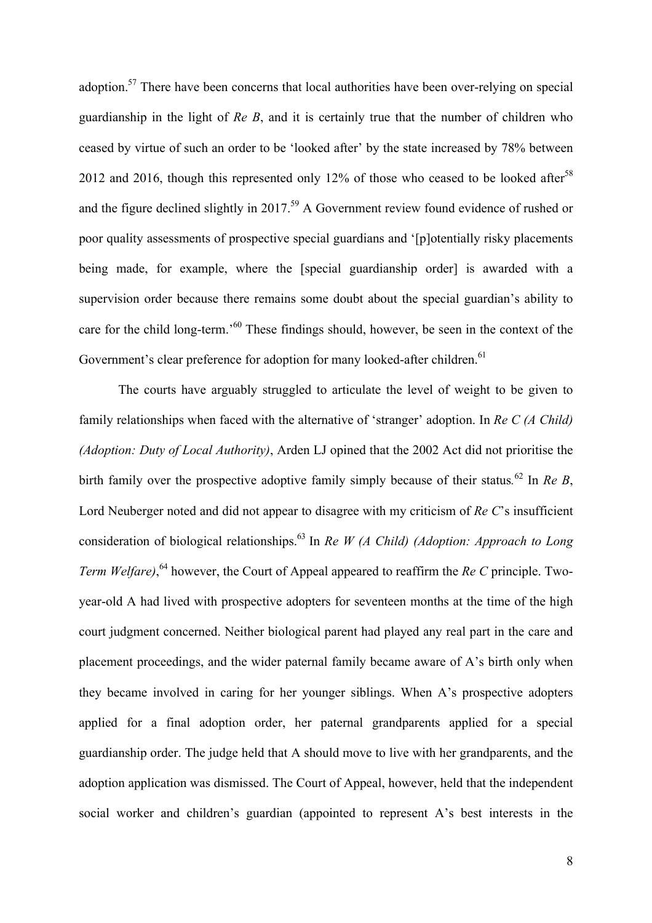adoption.57 There have been concerns that local authorities have been over-relying on special guardianship in the light of *Re B*, and it is certainly true that the number of children who ceased by virtue of such an order to be 'looked after' by the state increased by 78% between 2012 and 2016, though this represented only 12% of those who ceased to be looked after<sup>58</sup> and the figure declined slightly in 2017.<sup>59</sup> A Government review found evidence of rushed or poor quality assessments of prospective special guardians and '[p]otentially risky placements being made, for example, where the [special guardianship order] is awarded with a supervision order because there remains some doubt about the special guardian's ability to care for the child long-term.<sup>560</sup> These findings should, however, be seen in the context of the Government's clear preference for adoption for many looked-after children.<sup>61</sup>

The courts have arguably struggled to articulate the level of weight to be given to family relationships when faced with the alternative of 'stranger' adoption. In *Re C (A Child) (Adoption: Duty of Local Authority)*, Arden LJ opined that the 2002 Act did not prioritise the birth family over the prospective adoptive family simply because of their status*.* <sup>62</sup> In *Re B*, Lord Neuberger noted and did not appear to disagree with my criticism of *Re C*'s insufficient consideration of biological relationships. <sup>63</sup> In *Re W (A Child) (Adoption: Approach to Long Term Welfare)*, <sup>64</sup> however, the Court of Appeal appeared to reaffirm the *Re C* principle. Twoyear-old A had lived with prospective adopters for seventeen months at the time of the high court judgment concerned. Neither biological parent had played any real part in the care and placement proceedings, and the wider paternal family became aware of A's birth only when they became involved in caring for her younger siblings. When A's prospective adopters applied for a final adoption order, her paternal grandparents applied for a special guardianship order. The judge held that A should move to live with her grandparents, and the adoption application was dismissed. The Court of Appeal, however, held that the independent social worker and children's guardian (appointed to represent A's best interests in the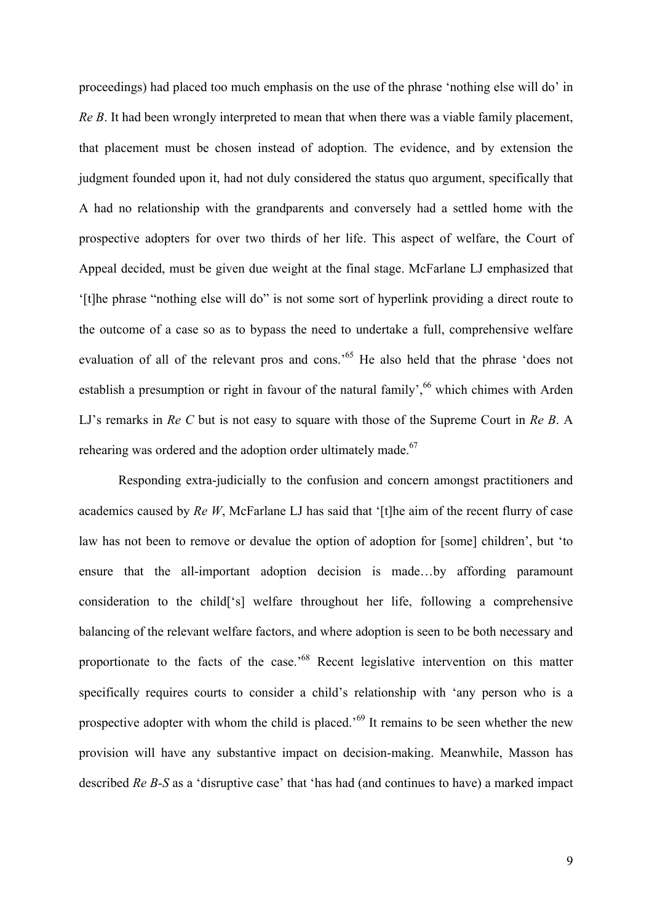proceedings) had placed too much emphasis on the use of the phrase 'nothing else will do' in *Re B*. It had been wrongly interpreted to mean that when there was a viable family placement, that placement must be chosen instead of adoption. The evidence, and by extension the judgment founded upon it, had not duly considered the status quo argument, specifically that A had no relationship with the grandparents and conversely had a settled home with the prospective adopters for over two thirds of her life. This aspect of welfare, the Court of Appeal decided, must be given due weight at the final stage. McFarlane LJ emphasized that '[t]he phrase "nothing else will do" is not some sort of hyperlink providing a direct route to the outcome of a case so as to bypass the need to undertake a full, comprehensive welfare evaluation of all of the relevant pros and cons.<sup>55</sup> He also held that the phrase 'does not establish a presumption or right in favour of the natural family',<sup>66</sup> which chimes with Arden LJ's remarks in *Re C* but is not easy to square with those of the Supreme Court in *Re B*. A rehearing was ordered and the adoption order ultimately made.<sup>67</sup>

Responding extra-judicially to the confusion and concern amongst practitioners and academics caused by *Re W*, McFarlane LJ has said that '[t]he aim of the recent flurry of case law has not been to remove or devalue the option of adoption for [some] children', but 'to ensure that the all-important adoption decision is made…by affording paramount consideration to the child['s] welfare throughout her life, following a comprehensive balancing of the relevant welfare factors, and where adoption is seen to be both necessary and proportionate to the facts of the case.<sup>68</sup> Recent legislative intervention on this matter specifically requires courts to consider a child's relationship with 'any person who is a prospective adopter with whom the child is placed.<sup>69</sup> It remains to be seen whether the new provision will have any substantive impact on decision-making. Meanwhile, Masson has described *Re B-S* as a 'disruptive case' that 'has had (and continues to have) a marked impact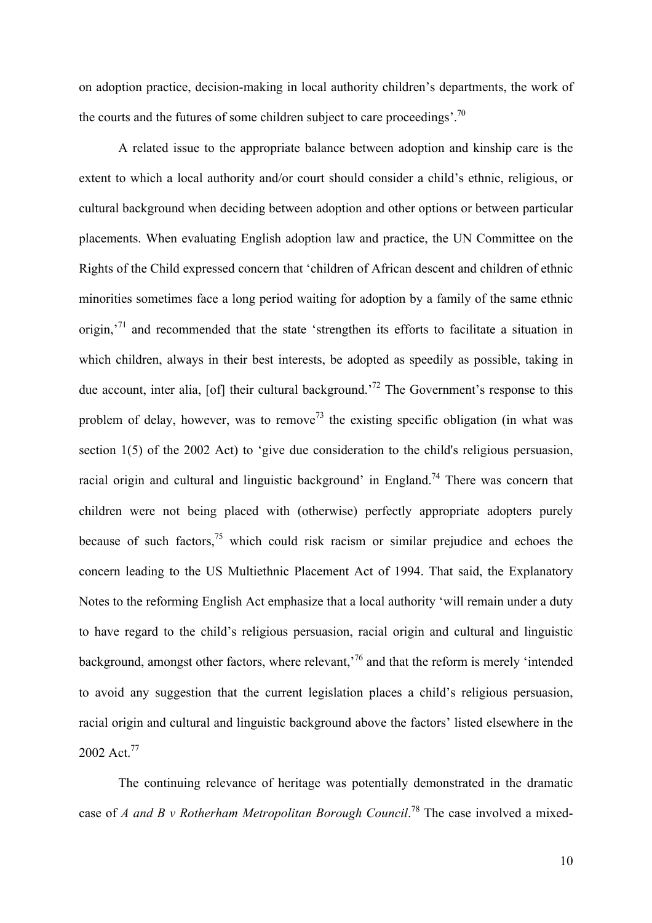on adoption practice, decision-making in local authority children's departments, the work of the courts and the futures of some children subject to care proceedings'.<sup>70</sup>

A related issue to the appropriate balance between adoption and kinship care is the extent to which a local authority and/or court should consider a child's ethnic, religious, or cultural background when deciding between adoption and other options or between particular placements. When evaluating English adoption law and practice, the UN Committee on the Rights of the Child expressed concern that 'children of African descent and children of ethnic minorities sometimes face a long period waiting for adoption by a family of the same ethnic origin,<sup> $71$ </sup> and recommended that the state 'strengthen its efforts to facilitate a situation in which children, always in their best interests, be adopted as speedily as possible, taking in due account, inter alia, [of] their cultural background.<sup>72</sup> The Government's response to this problem of delay, however, was to remove<sup>73</sup> the existing specific obligation (in what was section 1(5) of the 2002 Act) to 'give due consideration to the child's religious persuasion, racial origin and cultural and linguistic background' in England.<sup>74</sup> There was concern that children were not being placed with (otherwise) perfectly appropriate adopters purely because of such factors,  $75$  which could risk racism or similar prejudice and echoes the concern leading to the US Multiethnic Placement Act of 1994. That said, the Explanatory Notes to the reforming English Act emphasize that a local authority 'will remain under a duty to have regard to the child's religious persuasion, racial origin and cultural and linguistic background, amongst other factors, where relevant,<sup>76</sup> and that the reform is merely 'intended to avoid any suggestion that the current legislation places a child's religious persuasion, racial origin and cultural and linguistic background above the factors' listed elsewhere in the 2002 Act.<sup>77</sup>

The continuing relevance of heritage was potentially demonstrated in the dramatic case of *A and B v Rotherham Metropolitan Borough Council*. <sup>78</sup> The case involved a mixed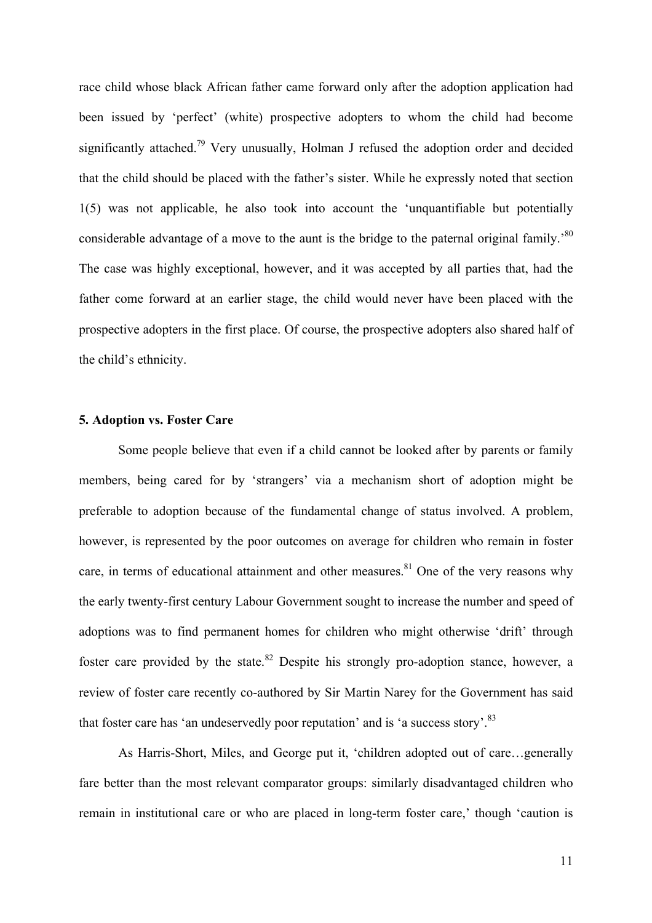race child whose black African father came forward only after the adoption application had been issued by 'perfect' (white) prospective adopters to whom the child had become significantly attached.<sup>79</sup> Very unusually, Holman J refused the adoption order and decided that the child should be placed with the father's sister. While he expressly noted that section 1(5) was not applicable, he also took into account the 'unquantifiable but potentially considerable advantage of a move to the aunt is the bridge to the paternal original family.<sup>80</sup> The case was highly exceptional, however, and it was accepted by all parties that, had the father come forward at an earlier stage, the child would never have been placed with the prospective adopters in the first place. Of course, the prospective adopters also shared half of the child's ethnicity.

## **5. Adoption vs. Foster Care**

Some people believe that even if a child cannot be looked after by parents or family members, being cared for by 'strangers' via a mechanism short of adoption might be preferable to adoption because of the fundamental change of status involved. A problem, however, is represented by the poor outcomes on average for children who remain in foster care, in terms of educational attainment and other measures.<sup>81</sup> One of the very reasons why the early twenty-first century Labour Government sought to increase the number and speed of adoptions was to find permanent homes for children who might otherwise 'drift' through foster care provided by the state.<sup>82</sup> Despite his strongly pro-adoption stance, however, a review of foster care recently co-authored by Sir Martin Narey for the Government has said that foster care has 'an undeservedly poor reputation' and is 'a success story'.<sup>83</sup>

As Harris-Short, Miles, and George put it, 'children adopted out of care…generally fare better than the most relevant comparator groups: similarly disadvantaged children who remain in institutional care or who are placed in long-term foster care,' though 'caution is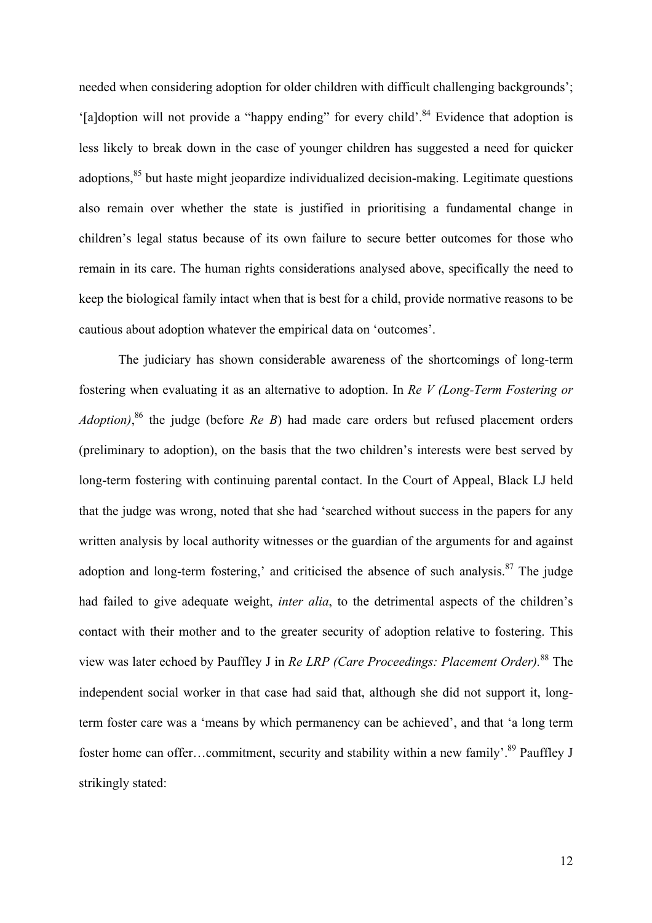needed when considering adoption for older children with difficult challenging backgrounds'; '[a]doption will not provide a "happy ending" for every child'.84 Evidence that adoption is less likely to break down in the case of younger children has suggested a need for quicker adoptions.<sup>85</sup> but haste might jeopardize individualized decision-making. Legitimate questions also remain over whether the state is justified in prioritising a fundamental change in children's legal status because of its own failure to secure better outcomes for those who remain in its care. The human rights considerations analysed above, specifically the need to keep the biological family intact when that is best for a child, provide normative reasons to be cautious about adoption whatever the empirical data on 'outcomes'.

The judiciary has shown considerable awareness of the shortcomings of long-term fostering when evaluating it as an alternative to adoption. In *Re V (Long-Term Fostering or Adoption)*, <sup>86</sup> the judge (before *Re B*) had made care orders but refused placement orders (preliminary to adoption), on the basis that the two children's interests were best served by long-term fostering with continuing parental contact. In the Court of Appeal, Black LJ held that the judge was wrong, noted that she had 'searched without success in the papers for any written analysis by local authority witnesses or the guardian of the arguments for and against adoption and long-term fostering,' and criticised the absence of such analysis. $87$  The judge had failed to give adequate weight, *inter alia*, to the detrimental aspects of the children's contact with their mother and to the greater security of adoption relative to fostering. This view was later echoed by Pauffley J in *Re LRP (Care Proceedings: Placement Order).* <sup>88</sup> The independent social worker in that case had said that, although she did not support it, longterm foster care was a 'means by which permanency can be achieved', and that 'a long term foster home can offer...commitment, security and stability within a new family'.<sup>89</sup> Pauffley J strikingly stated: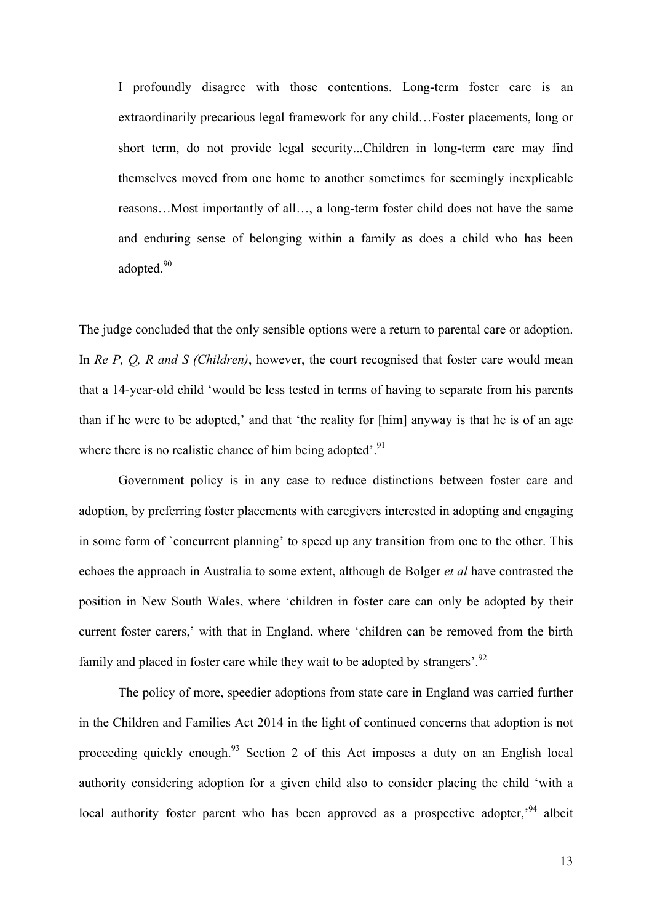I profoundly disagree with those contentions. Long-term foster care is an extraordinarily precarious legal framework for any child…Foster placements, long or short term, do not provide legal security...Children in long-term care may find themselves moved from one home to another sometimes for seemingly inexplicable reasons…Most importantly of all…, a long-term foster child does not have the same and enduring sense of belonging within a family as does a child who has been adopted.<sup>90</sup>

The judge concluded that the only sensible options were a return to parental care or adoption. In *Re P, Q, R and S (Children)*, however, the court recognised that foster care would mean that a 14-year-old child 'would be less tested in terms of having to separate from his parents than if he were to be adopted,' and that 'the reality for [him] anyway is that he is of an age where there is no realistic chance of him being adopted'.<sup>91</sup>

Government policy is in any case to reduce distinctions between foster care and adoption, by preferring foster placements with caregivers interested in adopting and engaging in some form of `concurrent planning' to speed up any transition from one to the other. This echoes the approach in Australia to some extent, although de Bolger *et al* have contrasted the position in New South Wales, where 'children in foster care can only be adopted by their current foster carers,' with that in England, where 'children can be removed from the birth family and placed in foster care while they wait to be adopted by strangers'.<sup>92</sup>

The policy of more, speedier adoptions from state care in England was carried further in the Children and Families Act 2014 in the light of continued concerns that adoption is not proceeding quickly enough.<sup>93</sup> Section 2 of this Act imposes a duty on an English local authority considering adoption for a given child also to consider placing the child 'with a local authority foster parent who has been approved as a prospective adopter,<sup>94</sup> albeit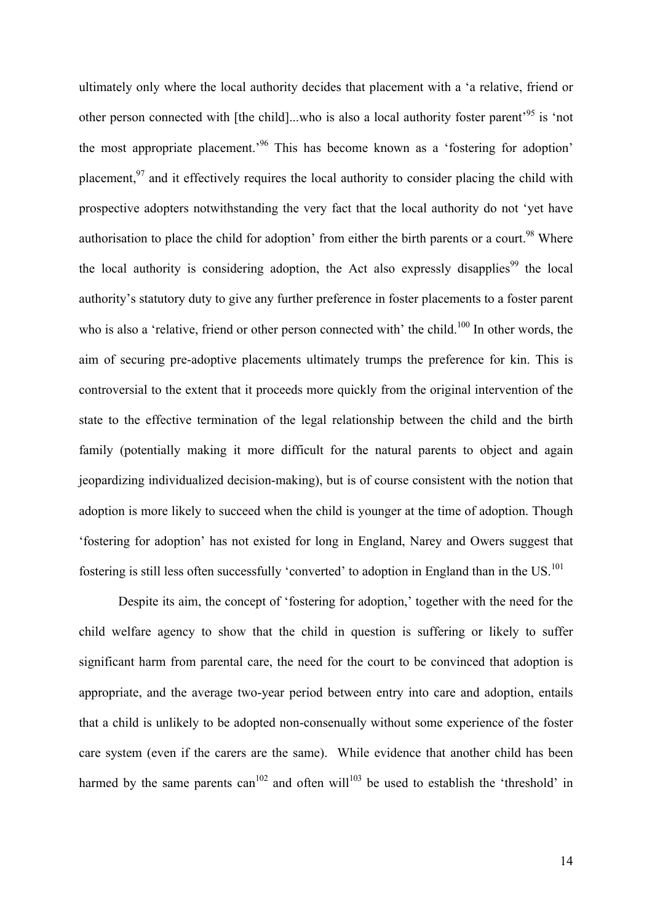ultimately only where the local authority decides that placement with a 'a relative, friend or other person connected with [the child]...who is also a local authority foster parent'95 is 'not the most appropriate placement.<sup>96</sup> This has become known as a 'fostering for adoption' placement.<sup>97</sup> and it effectively requires the local authority to consider placing the child with prospective adopters notwithstanding the very fact that the local authority do not 'yet have authorisation to place the child for adoption' from either the birth parents or a court.<sup>98</sup> Where the local authority is considering adoption, the Act also expressly disapplies<sup>99</sup> the local authority's statutory duty to give any further preference in foster placements to a foster parent who is also a 'relative, friend or other person connected with' the child.<sup>100</sup> In other words, the aim of securing pre-adoptive placements ultimately trumps the preference for kin. This is controversial to the extent that it proceeds more quickly from the original intervention of the state to the effective termination of the legal relationship between the child and the birth family (potentially making it more difficult for the natural parents to object and again jeopardizing individualized decision-making), but is of course consistent with the notion that adoption is more likely to succeed when the child is younger at the time of adoption. Though 'fostering for adoption' has not existed for long in England, Narey and Owers suggest that fostering is still less often successfully 'converted' to adoption in England than in the US.<sup>101</sup>

Despite its aim, the concept of 'fostering for adoption,' together with the need for the child welfare agency to show that the child in question is suffering or likely to suffer significant harm from parental care, the need for the court to be convinced that adoption is appropriate, and the average two-year period between entry into care and adoption, entails that a child is unlikely to be adopted non-consenually without some experience of the foster care system (even if the carers are the same). While evidence that another child has been harmed by the same parents can<sup>102</sup> and often will<sup>103</sup> be used to establish the 'threshold' in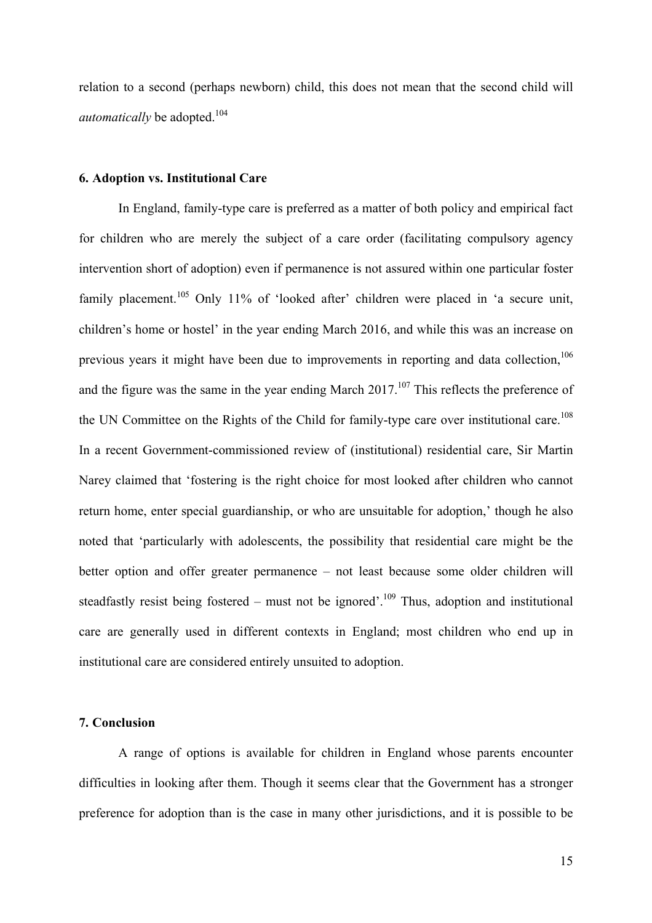relation to a second (perhaps newborn) child, this does not mean that the second child will *automatically* be adopted.<sup>104</sup>

# **6. Adoption vs. Institutional Care**

In England, family-type care is preferred as a matter of both policy and empirical fact for children who are merely the subject of a care order (facilitating compulsory agency intervention short of adoption) even if permanence is not assured within one particular foster family placement.<sup>105</sup> Only 11% of 'looked after' children were placed in 'a secure unit, children's home or hostel' in the year ending March 2016, and while this was an increase on previous years it might have been due to improvements in reporting and data collection, <sup>106</sup> and the figure was the same in the year ending March  $2017$ .<sup>107</sup> This reflects the preference of the UN Committee on the Rights of the Child for family-type care over institutional care.<sup>108</sup> In a recent Government-commissioned review of (institutional) residential care, Sir Martin Narey claimed that 'fostering is the right choice for most looked after children who cannot return home, enter special guardianship, or who are unsuitable for adoption,' though he also noted that 'particularly with adolescents, the possibility that residential care might be the better option and offer greater permanence – not least because some older children will steadfastly resist being fostered – must not be ignored'.<sup>109</sup> Thus, adoption and institutional care are generally used in different contexts in England; most children who end up in institutional care are considered entirely unsuited to adoption.

## **7. Conclusion**

A range of options is available for children in England whose parents encounter difficulties in looking after them. Though it seems clear that the Government has a stronger preference for adoption than is the case in many other jurisdictions, and it is possible to be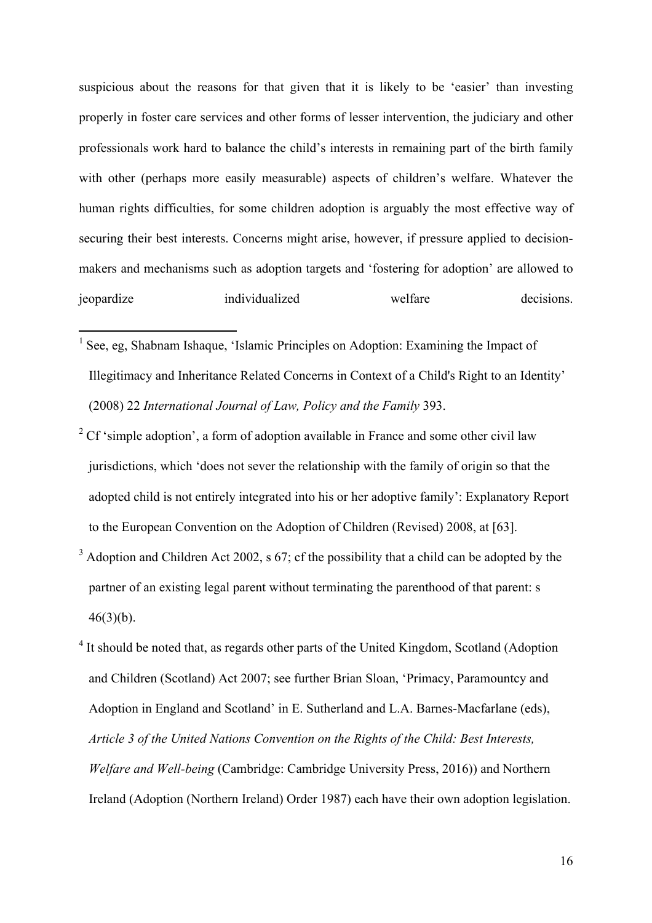suspicious about the reasons for that given that it is likely to be 'easier' than investing properly in foster care services and other forms of lesser intervention, the judiciary and other professionals work hard to balance the child's interests in remaining part of the birth family with other (perhaps more easily measurable) aspects of children's welfare. Whatever the human rights difficulties, for some children adoption is arguably the most effective way of securing their best interests. Concerns might arise, however, if pressure applied to decisionmakers and mechanisms such as adoption targets and 'fostering for adoption' are allowed to jeopardize individualized welfare decisions.

- $<sup>1</sup>$  See, eg. Shabnam Ishaque, 'Islamic Principles on Adoption: Examining the Impact of</sup> Illegitimacy and Inheritance Related Concerns in Context of a Child's Right to an Identity' (2008) 22 *International Journal of Law, Policy and the Family* 393.
- $2^{\circ}$  Cf 'simple adoption', a form of adoption available in France and some other civil law jurisdictions, which 'does not sever the relationship with the family of origin so that the adopted child is not entirely integrated into his or her adoptive family': Explanatory Report to the European Convention on the Adoption of Children (Revised) 2008, at [63].
- $3$  Adoption and Children Act 2002, s 67; cf the possibility that a child can be adopted by the partner of an existing legal parent without terminating the parenthood of that parent: s  $46(3)(b)$ .
- <sup>4</sup> It should be noted that, as regards other parts of the United Kingdom, Scotland (Adoption and Children (Scotland) Act 2007; see further Brian Sloan, 'Primacy, Paramountcy and Adoption in England and Scotland' in E. Sutherland and L.A. Barnes-Macfarlane (eds), *Article 3 of the United Nations Convention on the Rights of the Child: Best Interests, Welfare and Well-being* (Cambridge: Cambridge University Press, 2016)) and Northern Ireland (Adoption (Northern Ireland) Order 1987) each have their own adoption legislation.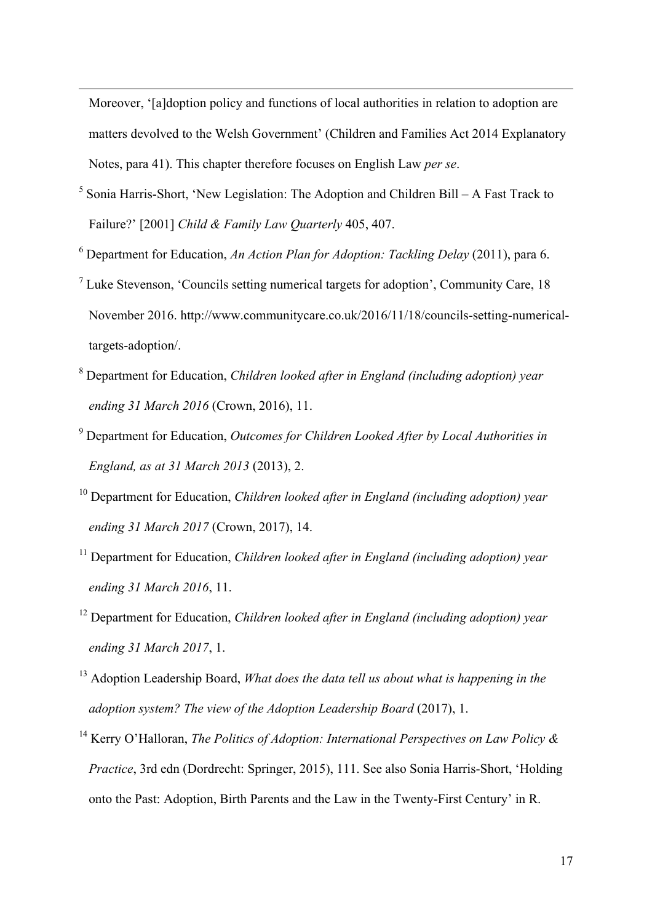Moreover, '[a]doption policy and functions of local authorities in relation to adoption are matters devolved to the Welsh Government' (Children and Families Act 2014 Explanatory Notes, para 41). This chapter therefore focuses on English Law *per se*.

<u> 1989 - Jan Sarajević, politički predsjednik i politički politički politički politički politički politički po</u>

- $5$  Sonia Harris-Short, 'New Legislation: The Adoption and Children Bill A Fast Track to Failure?' [2001] *Child & Family Law Quarterly* 405, 407.
- <sup>6</sup> Department for Education, *An Action Plan for Adoption: Tackling Delay* (2011), para 6.
- <sup>7</sup> Luke Stevenson, 'Councils setting numerical targets for adoption', Community Care, 18 November 2016. http://www.communitycare.co.uk/2016/11/18/councils-setting-numericaltargets-adoption/.
- <sup>8</sup> Department for Education, *Children looked after in England (including adoption) year ending 31 March 2016* (Crown, 2016), 11.
- <sup>9</sup> Department for Education, *Outcomes for Children Looked After by Local Authorities in England, as at 31 March 2013* (2013), 2.
- <sup>10</sup> Department for Education, *Children looked after in England (including adoption) year ending 31 March 2017* (Crown, 2017), 14.
- <sup>11</sup> Department for Education, *Children looked after in England (including adoption) year ending 31 March 2016*, 11.
- <sup>12</sup> Department for Education, *Children looked after in England (including adoption) year ending 31 March 2017*, 1.
- <sup>13</sup> Adoption Leadership Board, *What does the data tell us about what is happening in the adoption system? The view of the Adoption Leadership Board* (2017), 1.
- <sup>14</sup> Kerry O'Halloran, *The Politics of Adoption: International Perspectives on Law Policy & Practice*, 3rd edn (Dordrecht: Springer, 2015), 111. See also Sonia Harris-Short, 'Holding onto the Past: Adoption, Birth Parents and the Law in the Twenty-First Century' in R.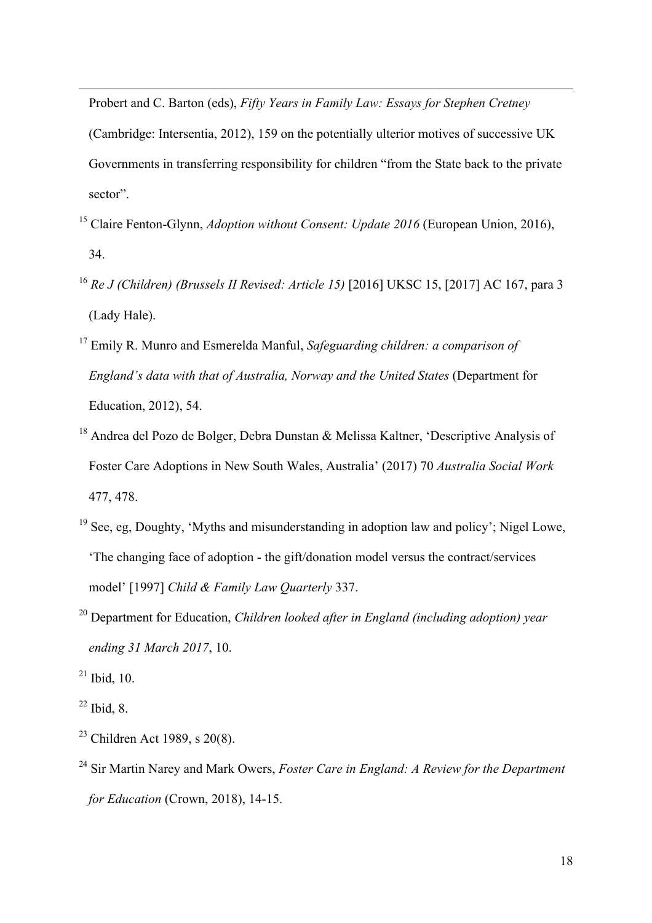Probert and C. Barton (eds), *Fifty Years in Family Law: Essays for Stephen Cretney* 

(Cambridge: Intersentia, 2012), 159 on the potentially ulterior motives of successive UK Governments in transferring responsibility for children "from the State back to the private sector".

<u> 1989 - Jan Sarajan, masjid a shekara ta 1989 - An tsarajan a shekara ta 1989 - An tsarajan a shekara ta 198</u>

- <sup>15</sup> Claire Fenton-Glynn, *Adoption without Consent: Update 2016* (European Union, 2016), 34.
- <sup>16</sup> *Re J (Children) (Brussels II Revised: Article 15)* [2016] UKSC 15, [2017] AC 167, para 3 (Lady Hale).
- <sup>17</sup> Emily R. Munro and Esmerelda Manful, *Safeguarding children: a comparison of England's data with that of Australia, Norway and the United States* (Department for Education, 2012), 54.
- <sup>18</sup> Andrea del Pozo de Bolger, Debra Dunstan & Melissa Kaltner, 'Descriptive Analysis of Foster Care Adoptions in New South Wales, Australia' (2017) 70 *Australia Social Work* 477, 478.
- <sup>19</sup> See, eg, Doughty, 'Myths and misunderstanding in adoption law and policy'; Nigel Lowe, 'The changing face of adoption - the gift/donation model versus the contract/services model' [1997] *Child & Family Law Quarterly* 337.
- <sup>20</sup> Department for Education, *Children looked after in England (including adoption) year ending 31 March 2017*, 10.
- $^{21}$  Ibid, 10.
- $22$  Ibid, 8.
- $23$  Children Act 1989, s 20(8).
- <sup>24</sup> Sir Martin Narey and Mark Owers, *Foster Care in England: A Review for the Department for Education* (Crown, 2018), 14-15.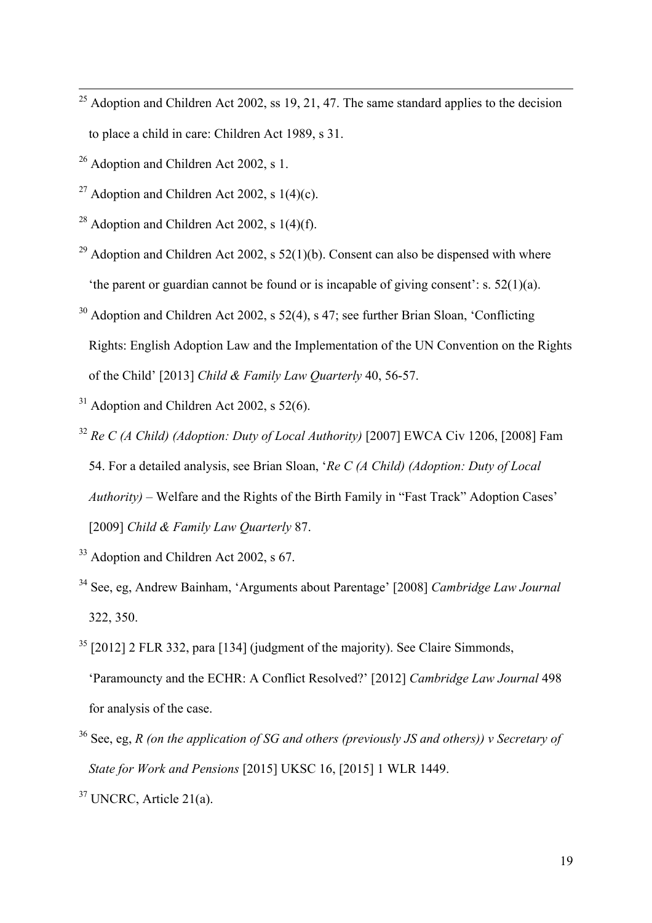- $25$  Adoption and Children Act 2002, ss 19, 21, 47. The same standard applies to the decision to place a child in care: Children Act 1989, s 31.
- $26$  Adoption and Children Act 2002, s 1.
- <sup>27</sup> Adoption and Children Act 2002, s  $1(4)(c)$ .
- <sup>28</sup> Adoption and Children Act 2002, s  $1(4)(f)$ .
- <sup>29</sup> Adoption and Children Act 2002, s  $52(1)(b)$ . Consent can also be dispensed with where 'the parent or guardian cannot be found or is incapable of giving consent': s. 52(1)(a).
- $30$  Adoption and Children Act 2002, s 52(4), s 47; see further Brian Sloan, 'Conflicting Rights: English Adoption Law and the Implementation of the UN Convention on the Rights of the Child' [2013] *Child & Family Law Quarterly* 40, 56-57.
- $31$  Adoption and Children Act 2002, s 52(6).
- <sup>32</sup> *Re C (A Child) (Adoption: Duty of Local Authority)* [2007] EWCA Civ 1206, [2008] Fam 54. For a detailed analysis, see Brian Sloan, '*Re C (A Child) (Adoption: Duty of Local Authority)* – Welfare and the Rights of the Birth Family in "Fast Track" Adoption Cases' [2009] *Child & Family Law Quarterly* 87.
- <sup>33</sup> Adoption and Children Act 2002, s 67.
- <sup>34</sup> See, eg, Andrew Bainham, 'Arguments about Parentage' [2008] *Cambridge Law Journal* 322, 350.
- $35$  [2012] 2 FLR 332, para [134] (judgment of the majority). See Claire Simmonds, 'Paramouncty and the ECHR: A Conflict Resolved?' [2012] *Cambridge Law Journal* 498 for analysis of the case.
- <sup>36</sup> See, eg, *R (on the application of SG and others (previously JS and others)) v Secretary of State for Work and Pensions* [2015] UKSC 16, [2015] 1 WLR 1449.

<sup>&</sup>lt;sup>37</sup> UNCRC, Article 21(a).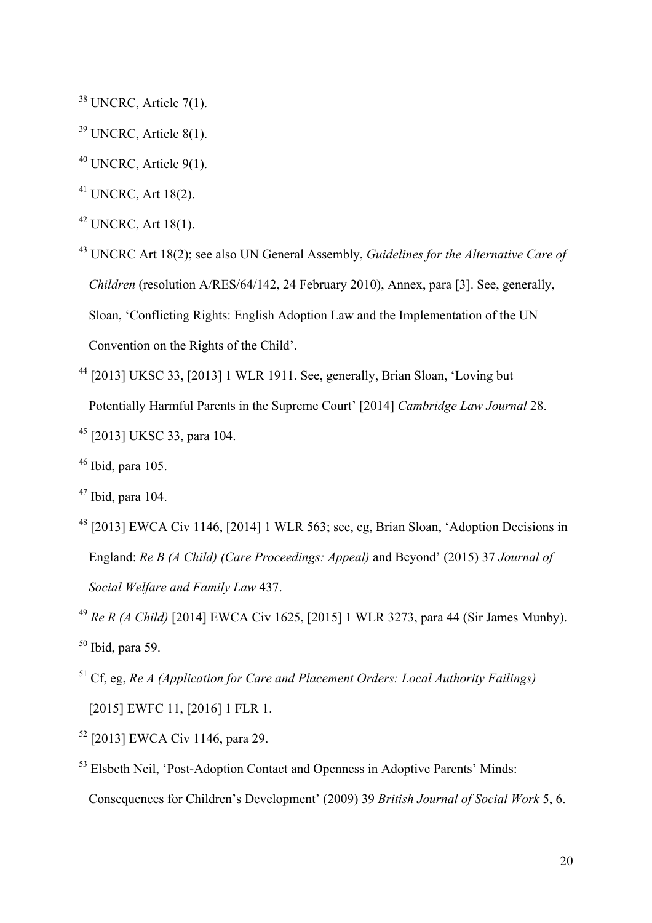<sup>38</sup> UNCRC, Article 7(1).

- <sup>39</sup> UNCRC, Article 8(1).
- $40$  UNCRC, Article 9(1).
- $41$  UNCRC, Art 18(2).
- $42$  UNCRC, Art 18(1).

<sup>43</sup> UNCRC Art 18(2); see also UN General Assembly, *Guidelines for the Alternative Care of Children* (resolution A/RES/64/142, 24 February 2010), Annex, para [3]. See, generally, Sloan, 'Conflicting Rights: English Adoption Law and the Implementation of the UN Convention on the Rights of the Child'.

<sup>44</sup> [2013] UKSC 33, [2013] 1 WLR 1911. See, generally, Brian Sloan, 'Loving but Potentially Harmful Parents in the Supreme Court' [2014] *Cambridge Law Journal* 28. <sup>45</sup> [2013] UKSC 33, para 104.

<sup>48</sup> [2013] EWCA Civ 1146, [2014] 1 WLR 563; see, eg, Brian Sloan, 'Adoption Decisions in England: *Re B (A Child) (Care Proceedings: Appeal)* and Beyond' (2015) 37 *Journal of Social Welfare and Family Law* 437.

- <sup>51</sup> Cf, eg, *Re A (Application for Care and Placement Orders: Local Authority Failings)* [2015] EWFC 11, [2016] 1 FLR 1.
- <sup>52</sup> [2013] EWCA Civ 1146, para 29.
- <sup>53</sup> Elsbeth Neil, 'Post-Adoption Contact and Openness in Adoptive Parents' Minds: Consequences for Children's Development' (2009) 39 *British Journal of Social Work* 5, 6.

 $46$  Ibid, para 105.

 $47$  Ibid, para 104.

<sup>49</sup> *Re R (A Child)* [2014] EWCA Civ 1625, [2015] 1 WLR 3273, para 44 (Sir James Munby).  $50$  Ibid, para 59.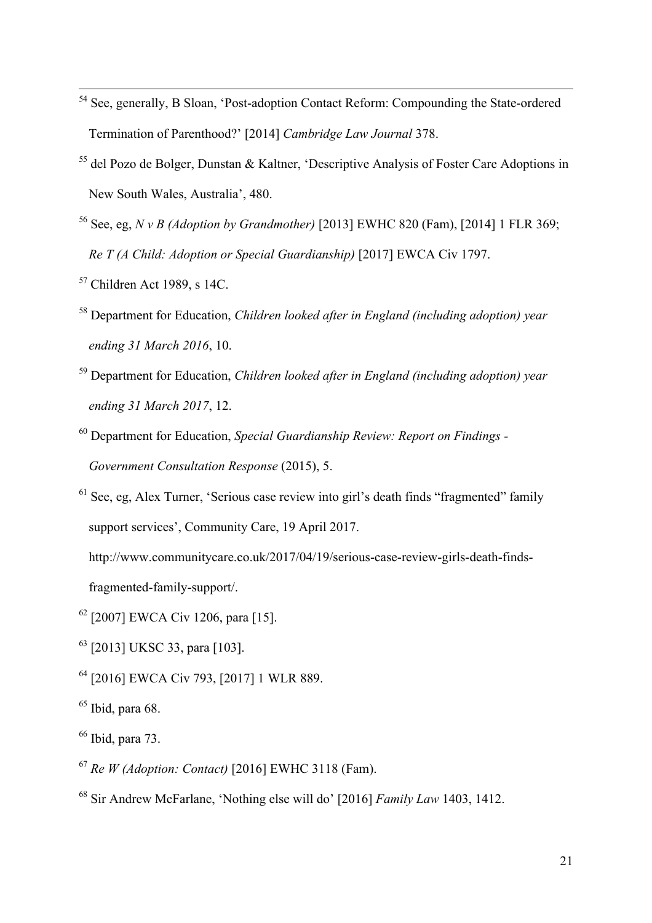- <sup>54</sup> See, generally, B Sloan, 'Post-adoption Contact Reform: Compounding the State-ordered Termination of Parenthood?' [2014] *Cambridge Law Journal* 378.
- <sup>55</sup> del Pozo de Bolger, Dunstan & Kaltner, 'Descriptive Analysis of Foster Care Adoptions in New South Wales, Australia', 480.
- <sup>56</sup> See, eg, *N v B (Adoption by Grandmother)* [2013] EWHC 820 (Fam), [2014] 1 FLR 369; *Re T (A Child: Adoption or Special Guardianship)* [2017] EWCA Civ 1797.
- $57$  Children Act 1989, s 14C.
- <sup>58</sup> Department for Education, *Children looked after in England (including adoption) year ending 31 March 2016*, 10.
- <sup>59</sup> Department for Education, *Children looked after in England (including adoption) year ending 31 March 2017*, 12.
- <sup>60</sup> Department for Education, *Special Guardianship Review: Report on Findings - Government Consultation Response* (2015), 5.
- $61$  See, eg, Alex Turner, 'Serious case review into girl's death finds "fragmented" family support services', Community Care, 19 April 2017.

http://www.communitycare.co.uk/2017/04/19/serious-case-review-girls-death-findsfragmented-family-support/.

- <sup>62</sup> [2007] EWCA Civ 1206, para [15].
- <sup>63</sup> [2013] UKSC 33, para [103].
- <sup>64</sup> [2016] EWCA Civ 793, [2017] 1 WLR 889.
- $65$  Ibid, para 68.
- $66$  Ibid, para 73.
- <sup>67</sup> *Re W (Adoption: Contact)* [2016] EWHC 3118 (Fam).
- <sup>68</sup> Sir Andrew McFarlane, 'Nothing else will do' [2016] *Family Law* 1403, 1412.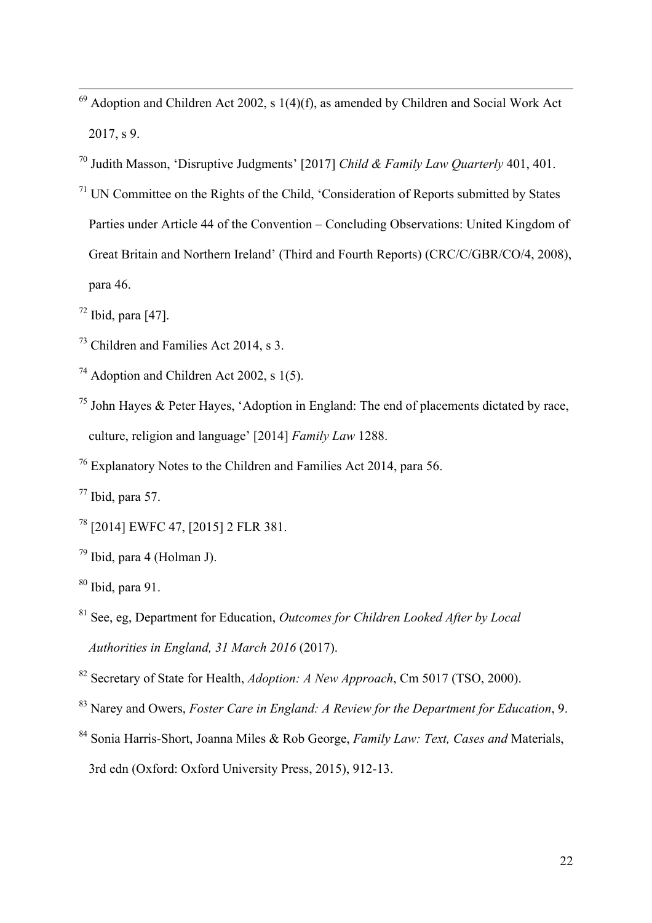- Adoption and Children Act 2002, s 1(4)(f), as amended by Children and Social Work Act 2017, s 9.
- Judith Masson, 'Disruptive Judgments' [2017] *Child & Family Law Quarterly* 401, 401.
- UN Committee on the Rights of the Child, 'Consideration of Reports submitted by States Parties under Article 44 of the Convention – Concluding Observations: United Kingdom of Great Britain and Northern Ireland' (Third and Fourth Reports) (CRC/C/GBR/CO/4, 2008), para 46.
- Ibid, para [47].
- Children and Families Act 2014, s 3.
- <sup>74</sup> Adoption and Children Act 2002, s  $1(5)$ .
- <sup>75</sup> John Hayes & Peter Hayes, 'Adoption in England: The end of placements dictated by race, culture, religion and language' [2014] *Family Law* 1288.
- Explanatory Notes to the Children and Families Act 2014, para 56.
- Ibid, para 57.
- [2014] EWFC 47, [2015] 2 FLR 381.
- Ibid, para 4 (Holman J).
- Ibid, para 91.
- See, eg, Department for Education, *Outcomes for Children Looked After by Local Authorities in England, 31 March 2016* (2017).
- Secretary of State for Health, *Adoption: A New Approach*, Cm 5017 (TSO, 2000).
- Narey and Owers, *Foster Care in England: A Review for the Department for Education*, 9.
- Sonia Harris-Short, Joanna Miles & Rob George, *Family Law: Text, Cases and* Materials, 3rd edn (Oxford: Oxford University Press, 2015), 912-13.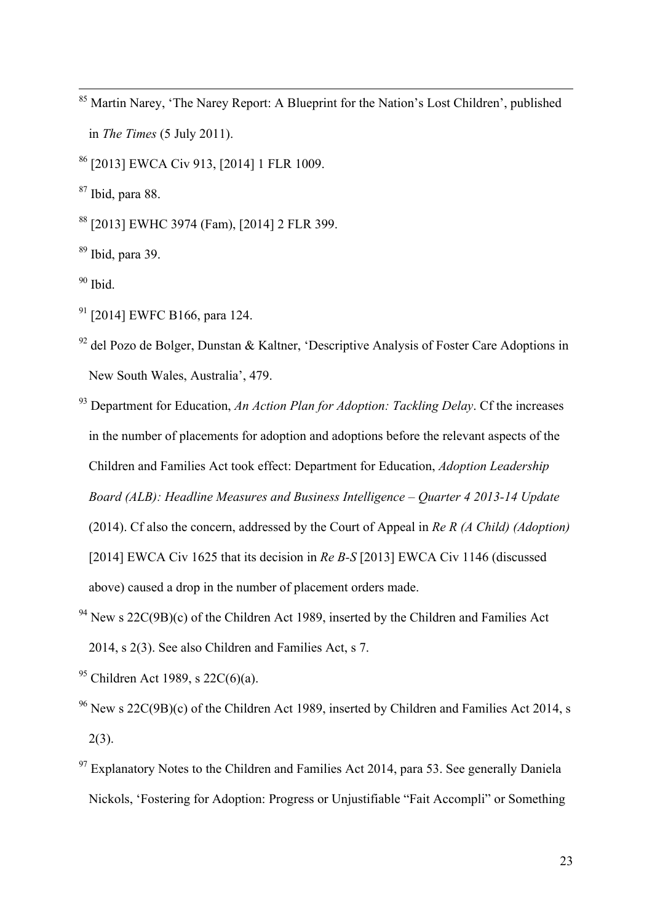<sup>85</sup> Martin Narey, 'The Narey Report: A Blueprint for the Nation's Lost Children', published in *The Times* (5 July 2011).

<sup>86</sup> [2013] EWCA Civ 913, [2014] 1 FLR 1009.

 $87$  Ibid, para 88.

<sup>88</sup> [2013] EWHC 3974 (Fam), [2014] 2 FLR 399.

 $89$  Ibid, para 39.

 $90$  Ibid.

- $91$  [2014] EWFC B166, para 124.
- $92$  del Pozo de Bolger, Dunstan & Kaltner, 'Descriptive Analysis of Foster Care Adoptions in New South Wales, Australia', 479.
- <sup>93</sup> Department for Education, *An Action Plan for Adoption: Tackling Delay*. Cf the increases in the number of placements for adoption and adoptions before the relevant aspects of the Children and Families Act took effect: Department for Education, *Adoption Leadership Board (ALB): Headline Measures and Business Intelligence – Quarter 4 2013-14 Update* (2014). Cf also the concern, addressed by the Court of Appeal in *Re R (A Child) (Adoption)*  [2014] EWCA Civ 1625 that its decision in *Re B-S* [2013] EWCA Civ 1146 (discussed above) caused a drop in the number of placement orders made.
- <sup>94</sup> New s  $22C(9B)(c)$  of the Children Act 1989, inserted by the Children and Families Act 2014, s 2(3). See also Children and Families Act, s 7.
- <sup>95</sup> Children Act 1989, s 22C(6)(a).
- <sup>96</sup> New s 22C(9B)(c) of the Children Act 1989, inserted by Children and Families Act 2014, s  $2(3)$ .
- $97$  Explanatory Notes to the Children and Families Act 2014, para 53. See generally Daniela Nickols, 'Fostering for Adoption: Progress or Unjustifiable "Fait Accompli" or Something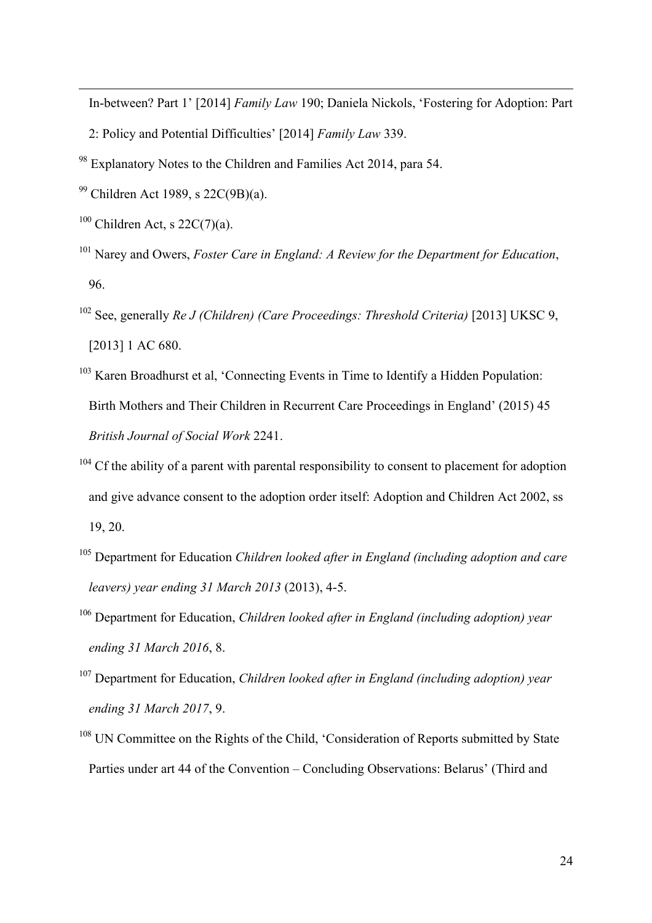<u> 1989 - Jan Sarajan, masjid a shekara ta 1989 - An tsarajan a shekara ta 1989 - An tsarajan a shekara ta 198</u> In-between? Part 1' [2014] *Family Law* 190; Daniela Nickols, 'Fostering for Adoption: Part

- 2: Policy and Potential Difficulties' [2014] *Family Law* 339.
- <sup>98</sup> Explanatory Notes to the Children and Families Act 2014, para 54.
- <sup>99</sup> Children Act 1989, s 22C(9B)(a).
- $100$  Children Act, s 22C(7)(a).
- <sup>101</sup> Narey and Owers, *Foster Care in England: A Review for the Department for Education*, 96.
- <sup>102</sup> See, generally *Re J (Children) (Care Proceedings: Threshold Criteria)* [2013] UKSC 9, [2013] 1 AC 680.
- <sup>103</sup> Karen Broadhurst et al, 'Connecting Events in Time to Identify a Hidden Population: Birth Mothers and Their Children in Recurrent Care Proceedings in England' (2015) 45 *British Journal of Social Work* 2241.
- <sup>104</sup> Cf the ability of a parent with parental responsibility to consent to placement for adoption and give advance consent to the adoption order itself: Adoption and Children Act 2002, ss 19, 20.
- <sup>105</sup> Department for Education *Children looked after in England (including adoption and care leavers) year ending 31 March 2013* (2013), 4-5.
- <sup>106</sup> Department for Education, *Children looked after in England (including adoption) year ending 31 March 2016*, 8.
- <sup>107</sup> Department for Education, *Children looked after in England (including adoption) year ending 31 March 2017*, 9.
- <sup>108</sup> UN Committee on the Rights of the Child, 'Consideration of Reports submitted by State Parties under art 44 of the Convention – Concluding Observations: Belarus' (Third and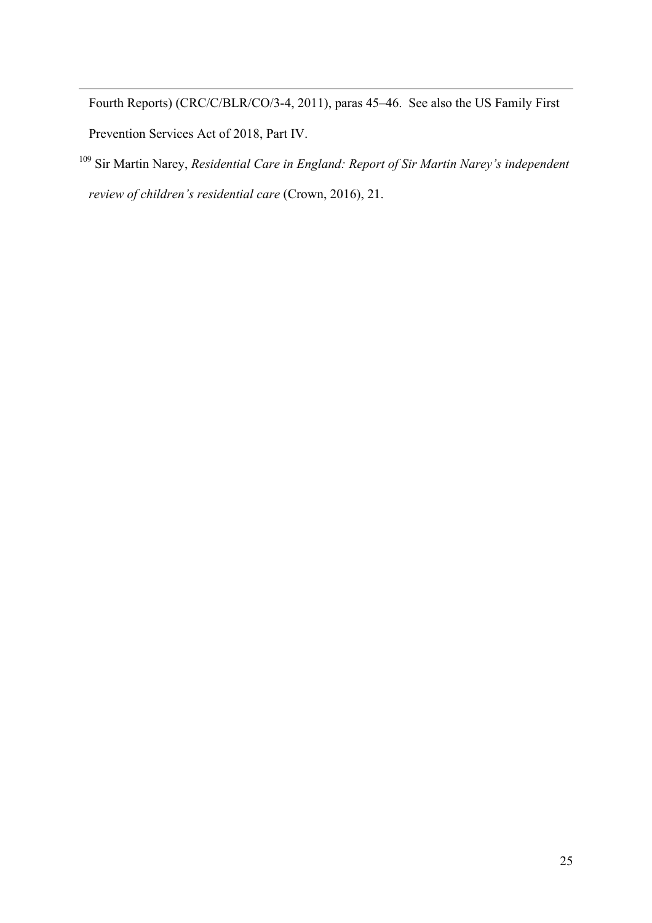Fourth Reports) (CRC/C/BLR/CO/3-4, 2011), paras 45–46. See also the US Family First Prevention Services Act of 2018, Part IV.

<u> 1989 - Jan Sarajan, masjid a shekara ta 1989 - An tsarajan a shekara ta 1989 - An tsarajan a shekara ta 198</u>

<sup>109</sup> Sir Martin Narey, *Residential Care in England: Report of Sir Martin Narey's independent review of children's residential care* (Crown, 2016), 21.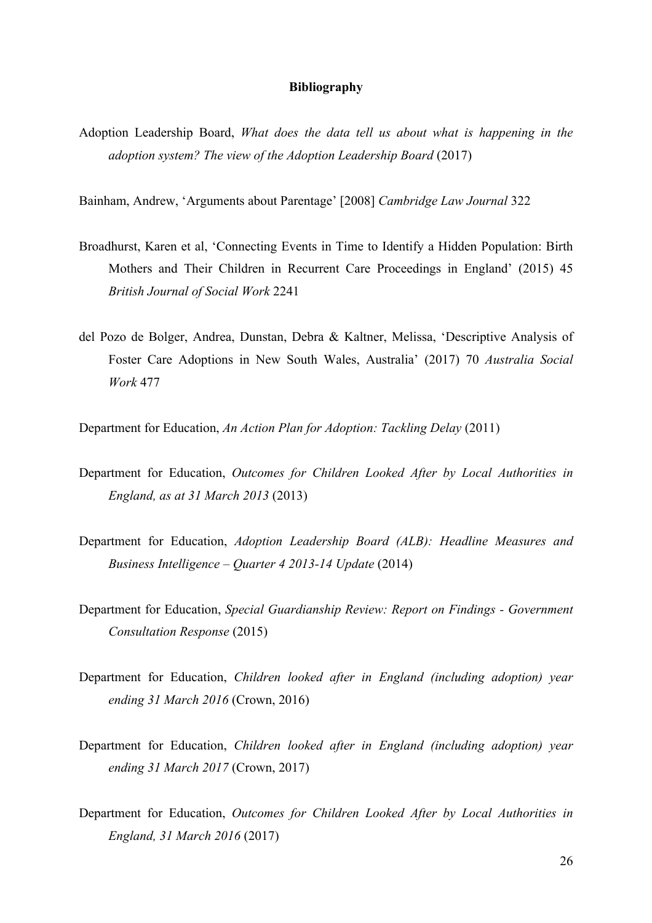## **Bibliography**

Adoption Leadership Board, *What does the data tell us about what is happening in the adoption system? The view of the Adoption Leadership Board* (2017)

Bainham, Andrew, 'Arguments about Parentage' [2008] *Cambridge Law Journal* 322

- Broadhurst, Karen et al, 'Connecting Events in Time to Identify a Hidden Population: Birth Mothers and Their Children in Recurrent Care Proceedings in England' (2015) 45 *British Journal of Social Work* 2241
- del Pozo de Bolger, Andrea, Dunstan, Debra & Kaltner, Melissa, 'Descriptive Analysis of Foster Care Adoptions in New South Wales, Australia' (2017) 70 *Australia Social Work* 477

Department for Education, *An Action Plan for Adoption: Tackling Delay* (2011)

- Department for Education, *Outcomes for Children Looked After by Local Authorities in England, as at 31 March 2013* (2013)
- Department for Education, *Adoption Leadership Board (ALB): Headline Measures and Business Intelligence – Quarter 4 2013-14 Update* (2014)
- Department for Education, *Special Guardianship Review: Report on Findings - Government Consultation Response* (2015)
- Department for Education, *Children looked after in England (including adoption) year ending 31 March 2016* (Crown, 2016)
- Department for Education, *Children looked after in England (including adoption) year ending 31 March 2017* (Crown, 2017)
- Department for Education, *Outcomes for Children Looked After by Local Authorities in England, 31 March 2016* (2017)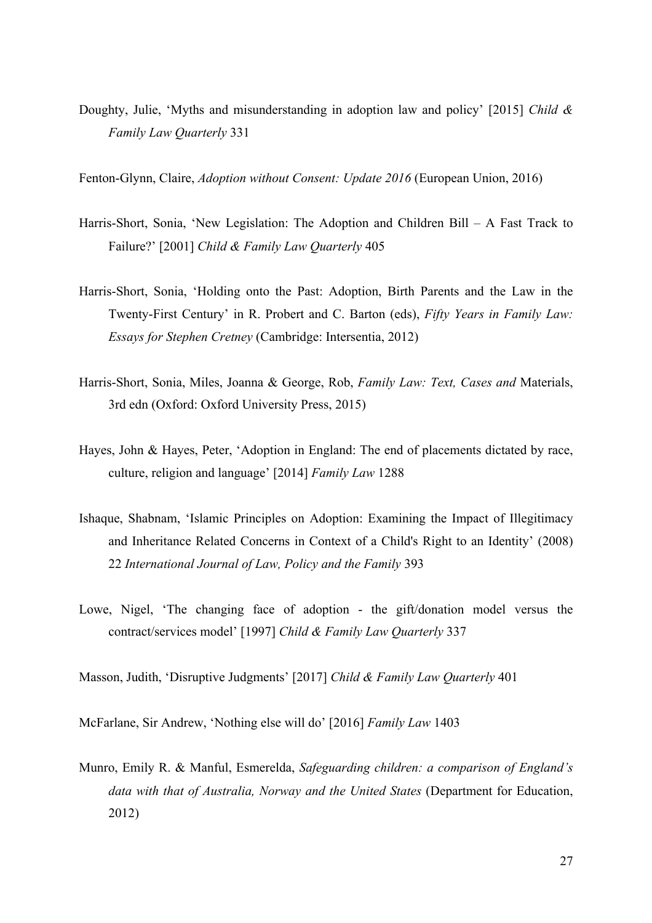Doughty, Julie, 'Myths and misunderstanding in adoption law and policy' [2015] *Child & Family Law Quarterly* 331

Fenton-Glynn, Claire, *Adoption without Consent: Update 2016* (European Union, 2016)

- Harris-Short, Sonia, 'New Legislation: The Adoption and Children Bill A Fast Track to Failure?' [2001] *Child & Family Law Quarterly* 405
- Harris-Short, Sonia, 'Holding onto the Past: Adoption, Birth Parents and the Law in the Twenty-First Century' in R. Probert and C. Barton (eds), *Fifty Years in Family Law: Essays for Stephen Cretney* (Cambridge: Intersentia, 2012)
- Harris-Short, Sonia, Miles, Joanna & George, Rob, *Family Law: Text, Cases and* Materials, 3rd edn (Oxford: Oxford University Press, 2015)
- Hayes, John & Hayes, Peter, 'Adoption in England: The end of placements dictated by race, culture, religion and language' [2014] *Family Law* 1288
- Ishaque, Shabnam, 'Islamic Principles on Adoption: Examining the Impact of Illegitimacy and Inheritance Related Concerns in Context of a Child's Right to an Identity' (2008) 22 *International Journal of Law, Policy and the Family* 393
- Lowe, Nigel, 'The changing face of adoption the gift/donation model versus the contract/services model' [1997] *Child & Family Law Quarterly* 337

Masson, Judith, 'Disruptive Judgments' [2017] *Child & Family Law Quarterly* 401

McFarlane, Sir Andrew, 'Nothing else will do' [2016] *Family Law* 1403

Munro, Emily R. & Manful, Esmerelda, *Safeguarding children: a comparison of England's data with that of Australia, Norway and the United States* (Department for Education, 2012)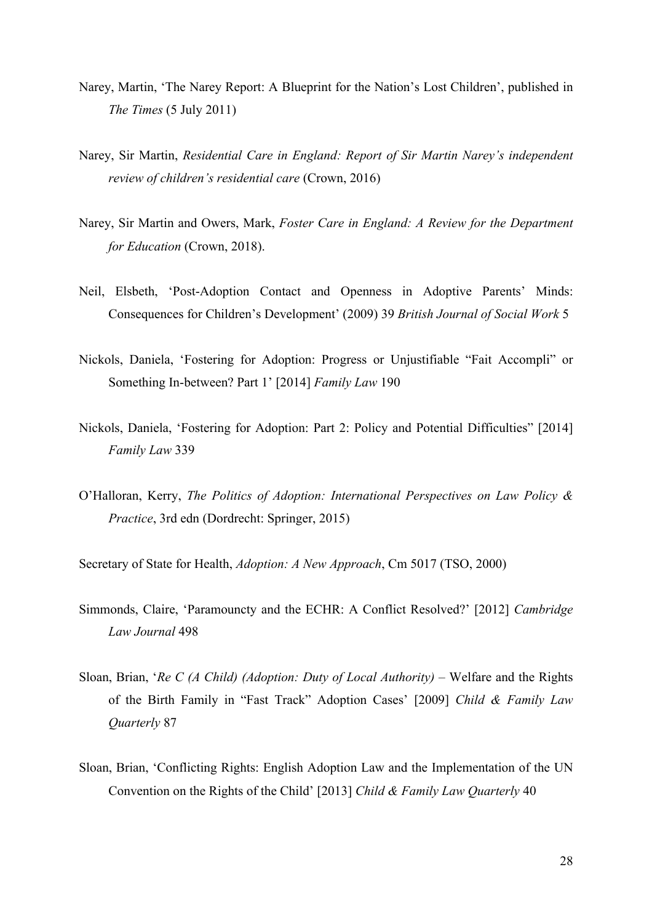- Narey, Martin, 'The Narey Report: A Blueprint for the Nation's Lost Children', published in *The Times* (5 July 2011)
- Narey, Sir Martin, *Residential Care in England: Report of Sir Martin Narey's independent review of children's residential care* (Crown, 2016)
- Narey, Sir Martin and Owers, Mark, *Foster Care in England: A Review for the Department for Education* (Crown, 2018).
- Neil, Elsbeth, 'Post-Adoption Contact and Openness in Adoptive Parents' Minds: Consequences for Children's Development' (2009) 39 *British Journal of Social Work* 5
- Nickols, Daniela, 'Fostering for Adoption: Progress or Unjustifiable "Fait Accompli" or Something In-between? Part 1' [2014] *Family Law* 190
- Nickols, Daniela, 'Fostering for Adoption: Part 2: Policy and Potential Difficulties" [2014] *Family Law* 339
- O'Halloran, Kerry, *The Politics of Adoption: International Perspectives on Law Policy & Practice*, 3rd edn (Dordrecht: Springer, 2015)

Secretary of State for Health, *Adoption: A New Approach*, Cm 5017 (TSO, 2000)

- Simmonds, Claire, 'Paramouncty and the ECHR: A Conflict Resolved?' [2012] *Cambridge Law Journal* 498
- Sloan, Brian, '*Re C (A Child) (Adoption: Duty of Local Authority)* Welfare and the Rights of the Birth Family in "Fast Track" Adoption Cases' [2009] *Child & Family Law Quarterly* 87
- Sloan, Brian, 'Conflicting Rights: English Adoption Law and the Implementation of the UN Convention on the Rights of the Child' [2013] *Child & Family Law Quarterly* 40